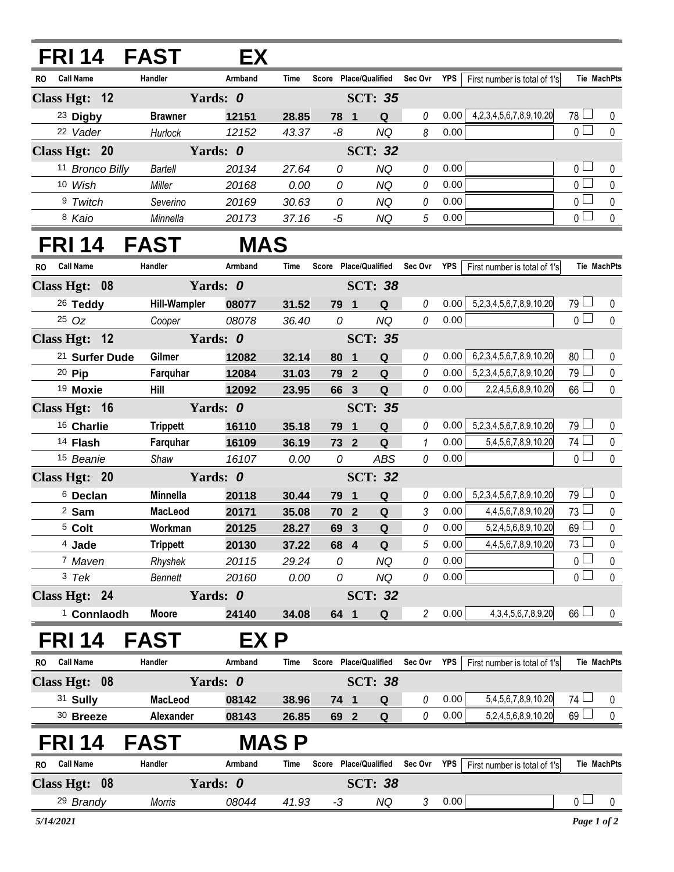## **FRI 14 FAST EX**

| <b>RO</b>                 | <b>Call Name</b>                 | Handler        | Armband | Time  | Score     | Place/Qualified | Sec Ovr  | <b>YPS</b> | First number is total of 1's      |              | <b>Tie MachPts</b> |
|---------------------------|----------------------------------|----------------|---------|-------|-----------|-----------------|----------|------------|-----------------------------------|--------------|--------------------|
| Class Hgt: 12<br>Yards: 0 |                                  |                |         |       |           | <b>SCT: 35</b>  |          |            |                                   |              |                    |
|                           | <sup>23</sup> Digby              | <b>Brawner</b> | 12151   | 28.85 | 78<br>- 1 | Q               |          | 0.00       | 4, 2, 3, 4, 5, 6, 7, 8, 9, 10, 20 | 78<br>$\Box$ |                    |
|                           | 22 Vader                         | Hurlock        | 12152   | 43.37 | -8        | NQ              | 8        | 0.00       |                                   |              |                    |
|                           | Yards: <i>0</i><br>Class Hgt: 20 |                |         |       |           | <b>SCT: 32</b>  |          |            |                                   |              |                    |
|                           | 11 Bronco Billy                  | Bartell        | 20134   | 27.64 | 0         | NQ              | 0        | 0.00       |                                   | $\cap$       | $\Omega$           |
|                           | 10 Wish                          | Miller         | 20168   | 0.00  | 0         | NQ              | $\theta$ | 0.00       |                                   |              | $\Omega$           |
|                           | 9 Twitch                         | Severino       | 20169   | 30.63 | 0         | NQ              | $\theta$ | 0.00       |                                   | $\cap$       | $\Omega$           |
|                           | <sup>8</sup> Kaio                | Minnella       | 20173   | 37.16 | -5        | NQ              | 5        | 0.00       |                                   |              | $\Omega$           |

## **FRI 14 FAST MAS**

| <b>RO</b>                 | <b>Call Name</b>          |  | Handler             | Armband  | Time        |      |                | Score Place/Qualified Sec Ovr YPS |                |            | First number is total of 1's |                 | Tie MachPts        |
|---------------------------|---------------------------|--|---------------------|----------|-------------|------|----------------|-----------------------------------|----------------|------------|------------------------------|-----------------|--------------------|
|                           | Class Hgt: 08             |  |                     | Yards: 0 |             |      |                | <b>SCT: 38</b>                    |                |            |                              |                 |                    |
|                           | <sup>26</sup> Teddy       |  | <b>Hill-Wampler</b> | 08077    | 31.52       |      | 79 1           | Q                                 | 0              | 0.00       | 5,2,3,4,5,6,7,8,9,10,20      | $79$ $\Box$     | 0                  |
|                           | $25$ $Oz$                 |  | Cooper              | 08078    | 36.40       | 0    |                | <b>NQ</b>                         | 0              | 0.00       |                              | $\overline{0}$  | $\pmb{0}$          |
|                           | Class Hgt: 12             |  |                     | Yards: 0 |             |      |                | <b>SCT: 35</b>                    |                |            |                              |                 |                    |
|                           | <sup>21</sup> Surfer Dude |  | Gilmer              | 12082    | 32.14       |      | 80 1           | $\mathbf Q$                       | 0              | 0.00       | 6,2,3,4,5,6,7,8,9,10,20      | $80$ $\Box$     | 0                  |
|                           | 20 Pip                    |  | Farquhar            | 12084    | 31.03       |      | 79 2           | $\mathbf Q$                       | 0              | 0.00       | 5,2,3,4,5,6,7,8,9,10,20      | $79$ $\Box$     | $\pmb{0}$          |
|                           | <sup>19</sup> Moxie       |  | Hill                | 12092    | 23.95       |      | 66 3           | $\mathbf Q$                       | 0              | 0.00       | 2,2,4,5,6,8,9,10,20          | $66$ $\Box$     | $\mathbf 0$        |
| Yards: 0<br>Class Hgt: 16 |                           |  |                     |          |             |      |                | <b>SCT: 35</b>                    |                |            |                              |                 |                    |
|                           | 16 Charlie                |  | <b>Trippett</b>     | 16110    | 35.18       |      | 79 1           | Q                                 | 0              | 0.00       | 5,2,3,4,5,6,7,8,9,10,20      | $79$ $\Box$     | $\mathbf 0$        |
|                           | 14 Flash                  |  | Farquhar            | 16109    | 36.19       |      | 73 2           | $\mathbf Q$                       | $\mathbf{1}$   | 0.00       | 5,4,5,6,7,8,9,10,20          | 74 $\Box$       | $\pmb{0}$          |
|                           | 15 Beanie                 |  | Shaw                | 16107    | 0.00        |      | 0              | <b>ABS</b>                        | 0              | 0.00       |                              | $\overline{0}$  | $\mathbf 0$        |
|                           | Class Hgt: 20             |  | Yards: 0            |          |             |      | <b>SCT: 32</b> |                                   |                |            |                              |                 |                    |
|                           | <sup>6</sup> Declan       |  | Minnella            | 20118    | 30.44       |      | 79 1           | $\mathbf Q$                       | 0              | 0.00       | 5,2,3,4,5,6,7,8,9,10,20      | 79 <sup>1</sup> | 0                  |
|                           | <sup>2</sup> Sam          |  | MacLeod             | 20171    | 35.08       |      | 70 2           | Q                                 | 3              | 0.00       | 4,4,5,6,7,8,9,10,20          | $73 \Box$       | $\mathbf 0$        |
|                           | <sup>5</sup> Colt         |  | Workman             | 20125    | 28.27       |      | 69 3           | Q                                 | 0              | 0.00       | 5,2,4,5,6,8,9,10,20          | 69              | $\pmb{0}$          |
|                           | <sup>4</sup> Jade         |  | <b>Trippett</b>     | 20130    | 37.22       |      | 68 4           | Q                                 | 5              | 0.00       | 4,4,5,6,7,8,9,10,20          | $73\Box$        | $\mathbf 0$        |
|                           | 7 Maven                   |  | Rhyshek             | 20115    | 29.24       | 0    |                | <b>NQ</b>                         | 0              | 0.00       |                              | $\overline{0}$  | $\mathbf 0$        |
|                           | 3 Tek                     |  | Bennett             | 20160    | 0.00        |      | 0              | <b>NQ</b>                         | 0              | 0.00       |                              | $\overline{0}$  | $\mathbf 0$        |
| Class Hgt: 24<br>Yards: 0 |                           |  |                     |          |             |      |                | <b>SCT: 32</b>                    |                |            |                              |                 |                    |
|                           | <sup>1</sup> Connlaodh    |  | <b>Moore</b>        | 24140    | 34.08       |      | 64 1           | Q                                 | $\overline{2}$ | 0.00       | 4, 3, 4, 5, 6, 7, 8, 9, 20   | $66$ $\Box$     | $\mathbf{0}$       |
|                           | FRI 14                    |  | <b>FAST</b>         | EX P     |             |      |                |                                   |                |            |                              |                 |                    |
| <b>RO</b>                 | <b>Call Name</b>          |  | Handler             | Armband  | <b>Time</b> |      |                | Score Place/Qualified             | Sec Ovr        | YPS        | First number is total of 1's |                 | <b>Tie MachPts</b> |
|                           | Class Hgt: 08             |  |                     | Yards: 0 |             |      |                | <b>SCT: 38</b>                    |                |            |                              |                 |                    |
|                           | 31 Sully                  |  | <b>MacLeod</b>      | 08142    | 38.96       |      | 74 1           | Q                                 | 0              | 0.00       | 5,4,5,6,7,8,9,10,20          | 74 $\Box$       | 0                  |
|                           | $30$ Breeze               |  | Alexander           | 08143    | 26.85       |      | 69 2           | Q                                 | 0              | 0.00       | 5,2,4,5,6,8,9,10,20          | 69              | 0                  |
|                           | <b>FRI 14</b>             |  | <b>FAST</b>         |          | <b>MASP</b> |      |                |                                   |                |            |                              |                 |                    |
| <b>RO</b>                 | <b>Call Name</b>          |  | Handler             | Armband  | <b>Time</b> |      |                | Score Place/Qualified Sec Ovr     |                | <b>YPS</b> | First number is total of 1's |                 | <b>Tie MachPts</b> |
|                           | Class Hgt: 08             |  |                     | Yards: 0 |             |      |                | <b>SCT: 38</b>                    |                |            |                              |                 |                    |
|                           | 29 Brandy                 |  | Morris              | 08044    | 41.93       | $-3$ |                | <b>NQ</b>                         | 3              | 0.00       |                              | $\overline{0}$  | $\mathbf 0$        |